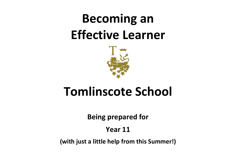

#### **Tomlinscote School**

**Being prepared for** 

**Year 11**

**(with just a little help from this Summer!)**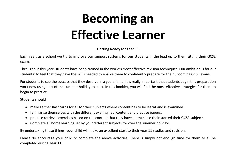#### **Getting Ready for Year 11**

Each year, as a school we try to improve our support systems for our students in the lead up to them sitting their GCSE exams.

Throughout this year, students have been trained in the world's most effective revision techniques. Our ambition is for our students' to feel that they have the skills needed to enable them to confidently prepare for their upcoming GCSE exams.

For students to see the success that they deserve in a years' time, it is really important that students begin this preparation work now using part of the summer holiday to start. In this booklet, you will find the most effective strategies for them to begin to practice.

#### Students should

- make Leitner flashcards for all for their subjects where content has to be learnt and is examined.
- familiarise themselves with the different exam syllabi content and practise papers.
- practice retrieval exercises based on the content that they have learnt since their started their GCSE subjects.
- Complete all home learning set by your different subjects for over the summer holidays

By undertaking these things, your child will make an excellent start to their year 11 studies and revision.

Please do encourage your child to complete the above activities. There is simply not enough time for them to all be completed during Year 11.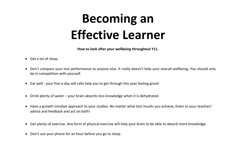**How to look after your wellbeing throughout Y11.**

- Get a lot of sleep.
- Don't compare your test performance to anyone else. It really doesn't help your overall wellbeing. You should only be in competition with yourself.
- Eat well your five-a-day will rally help you to get through this year feeling great!
- Drink plenty of water your brain absorbs less knowledge when it is dehydrated.
- Have a growth mindset approach to your studies. No matter what test results you achieve, listen to your teachers' advice and feedback and act on both!
- Get plenty of exercise. Any form of physical exercise will help your brain to be able to absorb more knowledge.
- Don't use your phone for an hour before you go to sleep.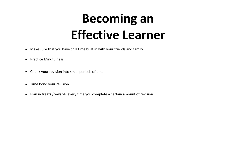- Make sure that you have chill time built in with your friends and family.
- Practice Mindfulness.
- Chunk your revision into small periods of time.
- Time bond your revision.
- Plan in treats /rewards every time you complete a certain amount of revision.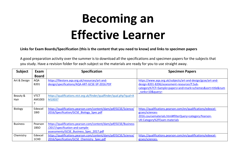**Links for Exam Boards/Specification (this is the content that you need to know) and links to specimen papers** 

A good preparation activity over the summer is to download all the specifications and specimen papers for the subjects that you study. Have a revision folder for each subject so the materials are ready for you to use straight away.

| <b>Subject</b>  | Exam             | <b>Specification</b>                                                 | <b>Specimen Papers</b>                                        |
|-----------------|------------------|----------------------------------------------------------------------|---------------------------------------------------------------|
|                 | <b>Board</b>     |                                                                      |                                                               |
| Art & Design    | <b>AQA</b>       | https://filestore.aqa.org.uk/resources/art-and-                      | https://www.aqa.org.uk/subjects/art-and-design/gcse/art-and-  |
|                 | 8201             | design/specifications/AQA-ART-GCSE-SP-2016.PDF                       | design-8201-8206/assessment-resources?f.Sub-                  |
|                 |                  |                                                                      | category%7CF=Sample+papers+and+mark+schemes&sort=title#       |
|                 |                  |                                                                      | $ranks = 10\&\text{query} =$                                  |
| Beauty &        | <b>VTCT</b>      | https://qualifications.vtct.org.uk/finder/qualfinder/qual.php?qual=A |                                                               |
| Hair            | AM1003           | M10037                                                               |                                                               |
|                 |                  |                                                                      |                                                               |
| Biology         | Edexcel          | https://qualifications.pearson.com/content/dam/pdf/GCSE/Science/     | https://qualifications.pearson.com/en/qualifications/edexcel- |
|                 | 1BIO             | 2016/Specification/GCSE Biology Spec.pdf                             | gcses/sciences-                                               |
|                 |                  |                                                                      | 2016.coursematerials.html#filterQuery=category:Pearson-       |
|                 |                  |                                                                      | UK:Category%2FExam-materials                                  |
| <b>Business</b> | Pearson          | https://qualifications.pearson.com/content/dam/pdf/GCSE/Business     |                                                               |
|                 | 1BSO             | /2017/specification-and-sample-                                      |                                                               |
|                 |                  | assessments/GCSE Business Spec 2017.pdf                              |                                                               |
| Chemistry       | Edexcel          | https://qualifications.pearson.com/content/dam/pdf/GCSE/Science/     | https://qualifications.pearson.com/en/qualifications/edexcel- |
|                 | 1CH <sub>0</sub> | 2016/Specification/GCSE Chemistry Spec.pdf                           | gcses/sciences-                                               |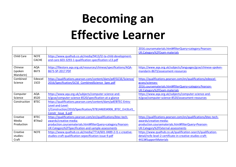|              |                  |                                                                    | 2016.coursematerials.html#filterQuery=category:Pearson-         |
|--------------|------------------|--------------------------------------------------------------------|-----------------------------------------------------------------|
|              |                  |                                                                    | UK:Category%2FExam-materials                                    |
| Child Care   | <b>NCFE</b>      | https://www.qualhub.co.uk/media/9413/l2-ta-child-development-      |                                                                 |
|              | <b>CACHE</b>     | and-care-603-3293-1-qualification-specification-v13.pdf            |                                                                 |
|              |                  |                                                                    |                                                                 |
| Chinese      | <b>AQA</b>       | https://filestore.aqa.org.uk/resources/chinese/specifications/AQA- | https://www.aqa.org.uk/subjects/languages/gcse/chinese-spoken-  |
| (spoken      | 8673             | 8673-SP-2017.PDF                                                   | mandarin-8673/assessment-resources                              |
| Mandarin)    |                  |                                                                    |                                                                 |
| Combined     | Edexcel          | https://qualifications.pearson.com/content/dam/pdf/GCSE/Science/   | https://qualifications.pearson.com/en/qualifications/edexcel-   |
| Science      | 1SC <sub>0</sub> | 2016/Specification/GCSE CombinedScience Spec.pdf                   | gcses/sciences-                                                 |
|              |                  |                                                                    | 2016.coursematerials.html#filterQuery=category:Pearson-         |
|              |                  |                                                                    | UK:Category%2FExam-materials                                    |
| Computer     | <b>AQA</b>       | https://www.aqa.org.uk/subjects/computer-science-and-              | https://www.aqa.org.uk/subjects/computer-science-and-           |
| Science      | 8520             | it/gcse/computer-science-8520/specification-at-a-glance            | it/gcse/computer-science-8520/assessment-resources              |
| Construction | <b>BTEC</b>      | https://qualifications.pearson.com/content/dam/pdf/BTEC-Entry-     |                                                                 |
|              |                  | Level-and-Level-                                                   |                                                                 |
|              |                  | 1/Construction/2010/Specification/9781446934906 BTEC Ent3Lvl1      |                                                                 |
|              |                  | Constr_Issue_6.pdf                                                 |                                                                 |
| Creative     | <b>BTEC</b>      | https://qualifications.pearson.com/en/qualifications/btec-tech-    | https://qualifications.pearson.com/en/qualifications/btec-tech- |
| Media        | BTAw2            | awards/creative-media-                                             | awards/creative-media-                                          |
| Production   |                  | production.coursematerials.html#filterQuery=category:Pearson-      | production.coursematerials.html#filterQuery=Pearson-            |
|              |                  | UK:Category%2FSpecification-and-sample-assessments                 | UK:Category%2FExternal-assessments                              |
| Creative     | <b>NCFE</b>      | https://www.qualhub.co.uk/media/7714/601-0489-2-l1-c-creative-     | https://www.qualhub.co.uk/qualification-search/qualification-   |
| studies:     |                  | studies-craft-qualification-sepecification-issue-9.pdf             | detail/ncfe-level-2-certificate-in-creative-studies-craft-      |
| Craft        |                  |                                                                    | 4413#SupportMaterials                                           |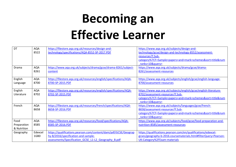| DT          | <b>AQA</b> | https://filestore.aqa.org.uk/resources/design-and-                 | https://www.aqa.org.uk/subjects/design-and-                      |
|-------------|------------|--------------------------------------------------------------------|------------------------------------------------------------------|
|             | 8522       | technology/specifications/AQA-8552-SP-2017.PDF                     | technology/gcse/design-and-technology-8552/assessment-           |
|             |            |                                                                    | resources?f.Sub-                                                 |
|             |            |                                                                    | category%7CF=Sample+papers+and+mark+schemes&sort=title#          |
|             |            |                                                                    | ranks=10&query=                                                  |
| Drama       | <b>AQA</b> | https://www.aqa.org.uk/subjects/drama/gcse/drama-8261/subject-     | https://www.aqa.org.uk/subjects/drama/gcse/drama-                |
|             | 8261       | content                                                            | 8261/assessment-resources                                        |
|             |            |                                                                    |                                                                  |
| English     | <b>AQA</b> | https://filestore.aqa.org.uk/resources/english/specifications/AQA- | https://www.aqa.org.uk/subjects/english/gcse/english-language-   |
| Language    | 8700       | 8700-SP-2015.PDF                                                   | 8700/assessment-resources                                        |
|             |            |                                                                    |                                                                  |
| English     | <b>AQA</b> | https://filestore.aga.org.uk/resources/english/specifications/AQA- | https://www.aqa.org.uk/subjects/english/gcse/english-literature- |
| Literature  | 8702       | 8702-SP-2015.PDF                                                   | 8702/assessment-resources?f.Sub-                                 |
|             |            |                                                                    | category%7CF=Sample+papers+and+mark+schemes&sort=title#          |
|             |            |                                                                    | ranks=10&query=                                                  |
| French      | <b>AQA</b> | https://filestore.aqa.org.uk/resources/french/specifications/AQA-  | https://www.aqa.org.uk/subjects/languages/gcse/french-           |
|             | 8658       | 8658-SP-2016.PDF                                                   | 8658/assessment-resources?f.Sub-                                 |
|             |            |                                                                    | category%7CF=Sample+papers+and+mark+schemes&sort=title#          |
|             |            |                                                                    | $ranks = 10\&\text{query} =$                                     |
| Food        | <b>AQA</b> | https://filestore.aqa.org.uk/resources/food/specifications/AQA-    | https://www.aqa.org.uk/subjects/food/gcse/food-preparation-and-  |
| Preparation | 8585       | 8585-SP-2016.PDF                                                   | nutrition-8585/assessment-resources                              |
| & Nutrition |            |                                                                    |                                                                  |
| Geography   | Edexcel    | https://qualifications.pearson.com/content/dam/pdf/GCSE/Geograp    | https://qualifications.pearson.com/en/qualifications/edexcel-    |
|             | 1GB0       | hy-B/2016/specification-and-sample-                                | gcses/geography-b-2016.coursematerials.html#filterQuery=Pearson- |
|             |            | assessments/Specification GCSE L1-L2 Geography B.pdf               | UK:Category%2FExam-materials                                     |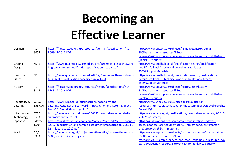| German         | AQA         | https://filestore.aga.org.uk/resources/german/specifications/AQA-  | https://www.aqa.org.uk/subjects/languages/gcse/german-              |
|----------------|-------------|--------------------------------------------------------------------|---------------------------------------------------------------------|
|                | 8668        | 8668-SP-2016.PDF                                                   | 8668/assessment-resources?f.Sub-                                    |
|                |             |                                                                    | category%7CF=Sample+papers+and+mark+schemes&sort=title#             |
|                |             |                                                                    | $ranks = 10$ &query=                                                |
| Graphic        | <b>NCFE</b> | https://www.qualhub.co.uk/media/7178/603-0845-x-l2-tech-award-     | https://www.qualhub.co.uk/qualification-search/qualification-       |
| Design         |             | in-graphic-design-qualification-specification-issue-6.pdf          | detail/ncfe-level-2-technical-award-in-graphic-design-              |
|                |             |                                                                    | 4569#SupportMaterials                                               |
| Health &       | <b>NCFE</b> | https://www.qualhub.co.uk/media/8512/l1-2-ta-health-and-fitness-   | https://www.qualhub.co.uk/qualification-search/qualification-       |
| <b>Fitness</b> |             | 603-2650-5-qualification-specification-v21.pdf                     | detail/ncfe-level-12-technical-award-in-health-and-fitness-         |
|                |             |                                                                    | 4579#SupportMaterials                                               |
| History        | <b>AQA</b>  | https://filestore.aqa.org.uk/resources/history/specifications/AQA- | https://www.aqa.org.uk/subjects/history/gcse/history-               |
|                | 8145        | 8145-SP-2016.PDF                                                   | 8145/assessment-resources?f.Sub-                                    |
|                |             |                                                                    | category%7CF=Sample+papers+and+mark+schemes&sort=title#             |
|                |             |                                                                    | ranks=10&query=                                                     |
| Hospitality &  | <b>WJEC</b> | https://www.wjec.co.uk/qualifications/hospitality-and-             | https://www.wjec.co.uk/qualifications/qualification-                |
| Catering       | 5569QA      | catering/WJEC-Level-1-2-Award-in-Hospitality-and-Catering-Spec-A-  | resources.html?subject=hospitalityAndCateringSpecA&level=Level12    |
|                |             | from-2016-e.pdf?language id=1                                      | AwardNQF                                                            |
| Information    | <b>BTEC</b> | https://www.ocr.org.uk/Images/260857-cambridge-technicals-it-      | https://www.ocr.org.uk/qualifications/cambridge-technicals/it-2016- |
| Technology     | 05883       | summary-brochure.pdf                                               | suite/assessment/                                                   |
| Japanese       | Edexcel     | https://qualifications.pearson.com/content/dam/pdf/GCSE/Japanese   | https://qualifications.pearson.com/en/qualifications/edexcel-       |
|                | 1JA0        | /2017/specification-and-sample-assessments/specification-GCSE-L1-  | gcses/japanese-2017.coursematerials.html#filterQuery=Pearson-       |
|                |             | L2-in-japanese-2017.pdf                                            | UK:Category%2FExam-materials                                        |
| Maths          | <b>AQA</b>  | https://www.aqa.org.uk/subjects/mathematics/gcse/mathematics-      | https://www.aqa.org.uk/subjects/mathematics/gcse/mathematics-       |
|                | 8300        | 8300/specification-at-a-glance                                     | 8300/assessment-resources?f.Sub-                                    |
|                |             |                                                                    | category%7CF=Sample+papers+and+mark+schemes&f.Resource+typ          |
|                |             |                                                                    |                                                                     |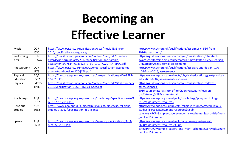| Music          | <b>OCR</b>       | https://www.ocr.org.uk/qualifications/gcse/music-j536-from-                                                                     | https://www.ocr.org.uk/qualifications/gcse/music-j536-from-       |
|----------------|------------------|---------------------------------------------------------------------------------------------------------------------------------|-------------------------------------------------------------------|
|                | J536             | 2016/specification-at-a-glance/                                                                                                 | 2016/assessment/                                                  |
| Performing     | <b>BTEC</b>      | https://qualifications.pearson.com/content/dam/pdf/btec-tec-<br>https://qualifications.pearson.com/en/qualifications/btec-tech- |                                                                   |
| Arts           | BTAw2            | awards/performing-arts/2017/specification-and-sample-                                                                           | awards/performing-arts.coursematerials.html#filterQuery=Pearson-  |
|                |                  | assessments/9781446939628 BTEC L1L2 AWD PA SPEC.pdf                                                                             | UK:Category%2FExternal-assessments                                |
| Photography    | <b>OCR</b>       | https://www.ocr.org.uk/Images/220463-specification-accredited-                                                                  | https://www.ocr.org.uk/qualifications/gcse/art-and-design-j170-   |
|                | J173             | gcse-art-and-design-j170-j176.pdf                                                                                               | j176-from-2016/assessment/                                        |
| Physical       | <b>AQA</b>       | https://filestore.aga.org.uk/resources/pe/specifications/AQA-8582-                                                              | https://www.aqa.org.uk/subjects/physical-education/gcse/physical- |
| Education      | 8582             | <b>SP-2016.PDF</b>                                                                                                              | education-8582/assessment-resources                               |
| Physics        | Edexcel          | https://qualifications.pearson.com/content/dam/pdf/GCSE/Science/                                                                | https://qualifications.pearson.com/en/qualifications/edexcel-     |
|                | 1PH <sub>0</sub> | 2016/Specification/GCSE Physics Spec.pdf                                                                                        | gcses/sciences-                                                   |
|                |                  |                                                                                                                                 | 2016.coursematerials.html#filterQuery=category:Pearson-           |
|                |                  |                                                                                                                                 | UK:Category%2FExam-materials                                      |
| Psychology     | <b>AQA</b>       | https://filestore.aqa.org.uk/resources/psychology/specifications/AQ                                                             | https://www.aqa.org.uk/subjects/psychology/gcse/psychology-       |
|                | 8182             | A-8182-SP-2017.PDF                                                                                                              | 8182/assessment-resources                                         |
| Religious      | AQA              | https://www.aqa.org.uk/subjects/religious-studies/gcse/religious-                                                               | https://www.aqa.org.uk/subjects/religious-studies/gcse/religious- |
| <b>Studies</b> | 8062             | studies-a-8062/specification-at-a-glance                                                                                        | studies-a-8062/assessment-resources?f.Sub-                        |
|                |                  |                                                                                                                                 | category%7CF=Sample+papers+and+mark+schemes&sort=title#           |
|                |                  |                                                                                                                                 | ranks=10&query=                                                   |
| Spanish        | <b>AQA</b>       | https://filestore.aga.org.uk/resources/spanish/specifications/AQA-                                                              | https://www.aqa.org.uk/subjects/languages/gcse/spanish-           |
|                | 8698             | 8698-SP-2016.PDF                                                                                                                | 8698/assessment-resources?f.Sub-                                  |
|                |                  |                                                                                                                                 | category%7CF=Sample+papers+and+mark+schemes&sort=title#           |
|                |                  |                                                                                                                                 | ranks=10&query=                                                   |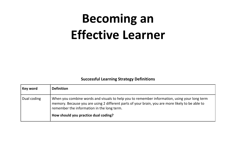**Successful Learning Strategy Definitions**

| Key word    | <b>Definition</b>                                                                                                                                                                                                                              |
|-------------|------------------------------------------------------------------------------------------------------------------------------------------------------------------------------------------------------------------------------------------------|
| Dual coding | When you combine words and visuals to help you to remember information, using your long term<br>memory. Because you are using 2 different parts of your brain, you are more likely to be able to<br>remember the information in the long term. |
|             | How should you practice dual coding?                                                                                                                                                                                                           |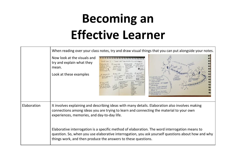|             |                                                                                             |                                                                                                                                                                                                                                                                                                                                                                                                                                                                                                                                                                                                   | When reading over your class notes, try and draw visual things that you can put alongside your notes.                                                                                                                      |
|-------------|---------------------------------------------------------------------------------------------|---------------------------------------------------------------------------------------------------------------------------------------------------------------------------------------------------------------------------------------------------------------------------------------------------------------------------------------------------------------------------------------------------------------------------------------------------------------------------------------------------------------------------------------------------------------------------------------------------|----------------------------------------------------------------------------------------------------------------------------------------------------------------------------------------------------------------------------|
|             | Now look at the visuals and<br>try and explain what they<br>mean.<br>Look at these examples | = "Great War"-plew was most<br>June 28, 1914<br>July 5, 1914<br>Austria declares<br>rechause Franz<br>rexmanygives -<br>erdinand of.<br>wstria a blank<br>Margaret Sp<br>tustria is<br>Check<br>SSASSMOHA<br>$(1)$ Aug 3, 1914<br>B) July 30.<br>Russia mobilizes<br>march through<br>edaresw<br>for serbia<br>newral Belgium<br>on France<br>草草受×1.5millian<br>France Mobilized<br>entral Powers<br>1 Aug 4, 1914<br>· united state<br>France<br>reiman<br>Britishempire Greece<br>Britain declares<br>Austria-Human<br>liads to<br>u on German<br>Russa<br>pannan Empire<br>Serbia<br>monenegyo | IFO FlowSy<br>1) Dendrites - receive<br>information<br>Soma-Processesall<br>Information<br>Axon- Action potentia<br>lale-or-none) travel<br>$7 \text{ NAP}$<br>terminal Button!<br>NWYOTRANSMITTETS Flow<br>in synapse to. |
| Elaboration | experiences, memories, and day-to-day life.                                                 | connections among ideas you are trying to learn and connecting the material to your own                                                                                                                                                                                                                                                                                                                                                                                                                                                                                                           | It involves explaining and describing ideas with many details. Elaboration also involves making                                                                                                                            |
|             |                                                                                             | things work, and then produce the answers to these questions.                                                                                                                                                                                                                                                                                                                                                                                                                                                                                                                                     | Elaborative interrogation is a specific method of elaboration. The word interrogation means to<br>question. So, when you use elaborative interrogation, you ask yourself questions about how and why                       |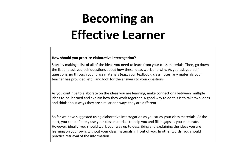#### **How should you practice elaborative interrogation?**

Start by making a list of all of the ideas you need to learn from your class materials. Then, go down the list and ask yourself questions about how these ideas work and why. As you ask yourself questions, go through your class materials (e.g., your textbook, class notes, any materials your teacher has provided, etc.) and look for the answers to your questions.

As you continue to elaborate on the ideas you are learning, make connections between multiple ideas to-be-learned and explain how they work together. A good way to do this is to take two ideas and think about ways they are similar and ways they are different.

So far we have suggested using elaborative interrogation as you study your class materials. At the start, you can definitely use your class materials to help you and fill in gaps as you elaborate. However, ideally, you should work your way up to describing and explaining the ideas you are learning on your own, without your class materials in front of you. In other words, you should practice retrieval of the information!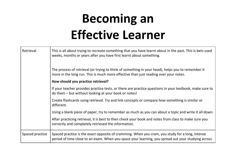| Retrieval       | This is all about trying to recreate something that you have learnt about in the past. This is bets used<br>weeks, months or years after you have first learnt about something.                       |
|-----------------|-------------------------------------------------------------------------------------------------------------------------------------------------------------------------------------------------------|
|                 | The process of retrieval (or trying to think of something in your head), helps you to remember it<br>more in the long run. This is much more effective than just reading over your notes.             |
|                 | How should you practice retrieval?                                                                                                                                                                    |
|                 | If your teacher provides practice tests, or there are practice questions in your textbook, make sure to<br>do them – but without looking at your book or notes!                                       |
|                 | Create flashcards using retrieval. Try and link concepts or compare how something is similar or<br>different.                                                                                         |
|                 | Using a blank piece of paper, try to remember as much as you can about a topic and write it all down.                                                                                                 |
|                 | After practicing retrieval, it is best to then check your book and notes from class to make sure you<br>correctly and completely retrieved the information.                                           |
| Spaced practice | Spaced practice is the exact opposite of cramming. When you cram, you study for a long, intense<br>period of time close to an exam. When you space your learning, you spread out your studying across |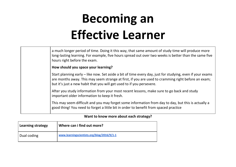| a much longer period of time. Doing it this way, that same amount of study time will produce more<br>long-lasting learning. For example, five hours spread out over two weeks is better than the same five<br>hours right before the exam.                                               |
|------------------------------------------------------------------------------------------------------------------------------------------------------------------------------------------------------------------------------------------------------------------------------------------|
| How should you space your learning?                                                                                                                                                                                                                                                      |
| Start planning early – like now. Set aside a bit of time every day, just for studying, even if your exams<br>are months away. This may seem strange at first, if you are used to cramming right before an exam;<br>but it's just a new habit that you will get used to if you persevere. |
| After you study information from your most recent lessons, make sure to go back and study<br>important older information to keep it fresh.                                                                                                                                               |
| This may seem difficult and you may forget some information from day to day, but this is actually a<br>good thing! You need to forget a little bit in order to benefit from spaced practice                                                                                              |

#### **Want to know more about each strategy?**

| Learning strategy        | Where can i find out more?                 |
|--------------------------|--------------------------------------------|
| <sup>I</sup> Dual coding | www.learningscientists.org/blog/2016/9/1-1 |